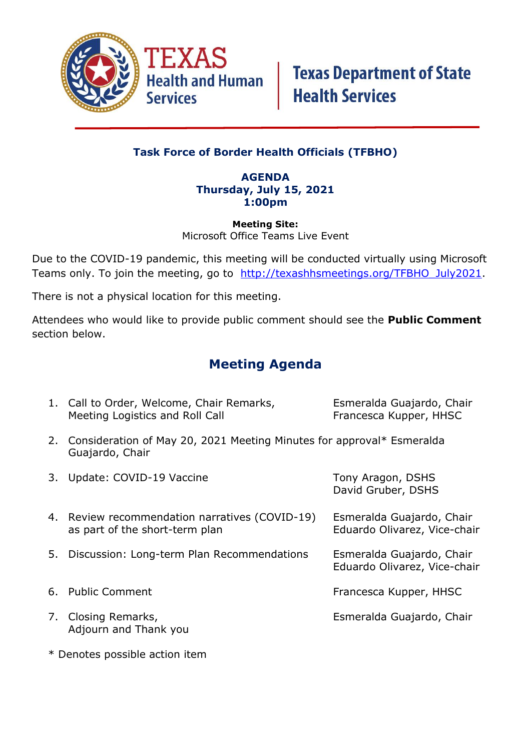

## **Task Force of Border Health Officials (TFBHO)**

### **AGENDA Thursday, July 15, 2021 1:00pm**

#### **Meeting Site:** Microsoft Office Teams Live Event

Due to the COVID-19 pandemic, this meeting will be conducted virtually using Microsoft Teams only. To join the meeting, go to [http://texashhsmeetings.org/TFBHO\\_July2021.](http://texashhsmeetings.org/TFBHO_July2021)

There is not a physical location for this meeting.

Attendees who would like to provide public comment should see the **Public Comment** section below.

## **Meeting Agenda**

|    | 1. Call to Order, Welcome, Chair Remarks,<br>Meeting Logistics and Roll Call                | Esmeralda Guajardo, Chair<br>Francesca Kupper, HHSC       |
|----|---------------------------------------------------------------------------------------------|-----------------------------------------------------------|
|    | 2. Consideration of May 20, 2021 Meeting Minutes for approval* Esmeralda<br>Guajardo, Chair |                                                           |
| 3. | Update: COVID-19 Vaccine                                                                    | Tony Aragon, DSHS<br>David Gruber, DSHS                   |
|    | 4. Review recommendation narratives (COVID-19)<br>as part of the short-term plan            | Esmeralda Guajardo, Chair<br>Eduardo Olivarez, Vice-chair |
| 5. | Discussion: Long-term Plan Recommendations                                                  | Esmeralda Guajardo, Chair<br>Eduardo Olivarez, Vice-chair |
|    | 6. Public Comment                                                                           | Francesca Kupper, HHSC                                    |
|    | 7. Closing Remarks,<br>Adjourn and Thank you                                                | Esmeralda Guajardo, Chair                                 |

\* Denotes possible action item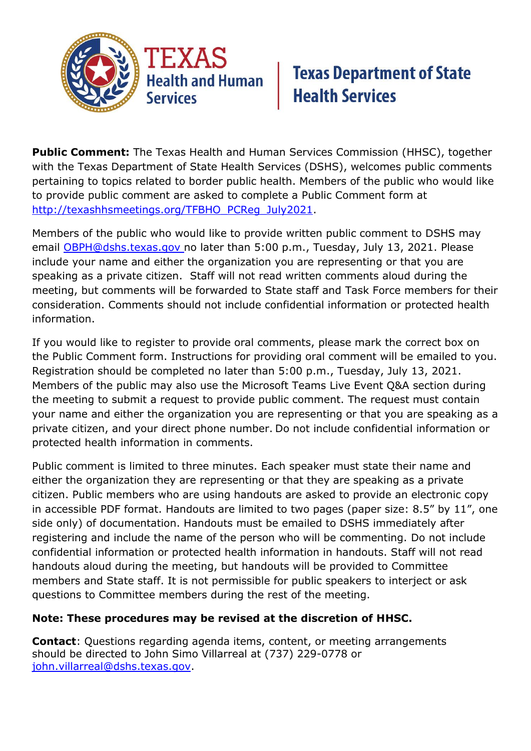

## **Texas Department of State Health Services**

**Public Comment:** The Texas Health and Human Services Commission (HHSC), together with the Texas Department of State Health Services (DSHS), welcomes public comments pertaining to topics related to border public health. Members of the public who would like to provide public comment are asked to complete a Public Comment form at [http://texashhsmeetings.org/TFBHO\\_PCReg\\_July2021.](http://texashhsmeetings.org/TFBHO_PCReg_July2021)

Members of the public who would like to provide written public comment to DSHS may email [OBPH@dshs.texas.gov](mailto:OBPH@dshs.texas.gov) no later than 5:00 p.m., Tuesday, July 13, 2021. Please include your name and either the organization you are representing or that you are speaking as a private citizen. Staff will not read written comments aloud during the meeting, but comments will be forwarded to State staff and Task Force members for their consideration. Comments should not include confidential information or protected health information.

If you would like to register to provide oral comments, please mark the correct box on the Public Comment form. Instructions for providing oral comment will be emailed to you. Registration should be completed no later than 5:00 p.m., Tuesday, July 13, 2021. Members of the public may also use the Microsoft Teams Live Event Q&A section during the meeting to submit a request to provide public comment. The request must contain your name and either the organization you are representing or that you are speaking as a private citizen, and your direct phone number. Do not include confidential information or protected health information in comments.

Public comment is limited to three minutes. Each speaker must state their name and either the organization they are representing or that they are speaking as a private citizen. Public members who are using handouts are asked to provide an electronic copy in accessible PDF format. Handouts are limited to two pages (paper size: 8.5" by 11", one side only) of documentation. Handouts must be emailed to DSHS immediately after registering and include the name of the person who will be commenting. Do not include confidential information or protected health information in handouts. Staff will not read handouts aloud during the meeting, but handouts will be provided to Committee members and State staff. It is not permissible for public speakers to interject or ask questions to Committee members during the rest of the meeting.

## **Note: These procedures may be revised at the discretion of HHSC.**

**Contact**: Questions regarding agenda items, content, or meeting arrangements should be directed to John Simo Villarreal at (737) 229-0778 or [john.villarreal@dshs.texas.gov.](mailto:john.villarreal@dshs.texas.gov)